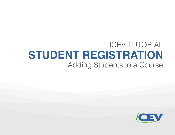# iCEV TUTORIAL **STUDENT REGISTRATION** Adding Students to a Course

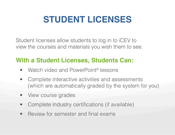# **STUDENT LICENSES**

Student licenses allow students to log in to iCEV to view the courses and materials you wish them to see.

# **With a Student Licenses, Students Can:**

- Watch video and PowerPoint<sup>®</sup> lessons
- Complete interactive activities and assessments (which are automatically graded by the system for you)
- View course grades
- Complete industry certifications (if available)
- Review for semester and final exams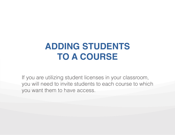# **ADDING STUDENTS TO A COURSE**

If you are utilizing student licenses in your classroom, you will need to invite students to each course to which you want them to have access.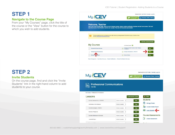# **STEP 1**

### **Navigate to the Course Page**

From your "My Courses" page, click the title of the course or the "View" button for the course to which you wish to add students.



# **STEP 2**

### **Invite Students**

On the course page, find and click the "Invite Students" link in the right-hand column to add students to your course.

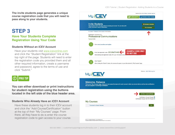**The invite students page generates a unique course registration code that you will need to pass along to your students.**

## **STEP 3**

## **Have Your Students Complete Registration Using Your Code**

#### **Students Without an iCEV Account**

Have your students visit www.icevonline.com and click the "Student Registration" link at the top right of the page. Students will need to enter the registration code you provided them and all other required information, create a username and password, agree to the terms of use and click "Submit."



**You can either download or print instructions for student registration using the buttons located in the left side of the blue header area.**

#### **Students Who Already Have an iCEV Account**

Have these students log in to their iCEV account and click the "Add Course/Certification" button at the top of their "My Courses" page. From there, all they have to do is enter the course registration code to gain access to your course.





|                             | Certification Course Passed:<br>Certification Course Not Yet Passed: O |
|-----------------------------|------------------------------------------------------------------------|
| <b>My Courses</b>           |                                                                        |
| Formulas for Career Success | View                                                                   |
|                             |                                                                        |
|                             |                                                                        |
|                             |                                                                        |
|                             |                                                                        |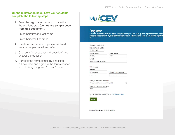#### **On the registration page, have your students complete the following steps:**

- 1. Enter the registration code you gave them in the previous step **(do not use sample code from this document)**.
- 2. Enter their first and last name.
- 3. Enter their email address.
- 4. Create a username and password. Next, re-type the password to confirm.
- 5. Choose a "forgot password question" and answer the question.
- 6. Agree to the terms of use by checking "I have read and agree to the terms of use" and clicking the green "Submit" button.

| <b>Register</b><br>SO.                      | If you are enrolled in a course that is using iCEV and you have been given a registration code, pleas<br>access to video content. If you already have an account with iCEV and need to add another registrat |  |
|---------------------------------------------|--------------------------------------------------------------------------------------------------------------------------------------------------------------------------------------------------------------|--|
| * indicates a required field                |                                                                                                                                                                                                              |  |
| *Registration Code                          |                                                                                                                                                                                                              |  |
| CEVSMITH463                                 |                                                                                                                                                                                                              |  |
| * First Name                                | * Last Name                                                                                                                                                                                                  |  |
| Student                                     | Jones                                                                                                                                                                                                        |  |
| Email                                       |                                                                                                                                                                                                              |  |
| student.jones@myschool.com                  |                                                                                                                                                                                                              |  |
| sjones123<br>*Password<br>                  | * Confirm Password<br>                                                                                                                                                                                       |  |
| *Forgot Password Question                   |                                                                                                                                                                                                              |  |
| What street did you live on in third grade? | ٠,                                                                                                                                                                                                           |  |
| *Forgot Password Answer                     |                                                                                                                                                                                                              |  |
| main                                        |                                                                                                                                                                                                              |  |
| <b>Submit</b>                               | 1 have read and agree to the terms of use.                                                                                                                                                                   |  |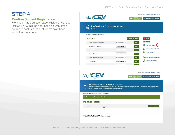## **STEP 4**

### **Confirm Student Registration**

From your "My Courses" page, click the "Manage Roster" link within the right-hand column of the course to confirm that all students have been added to your course.

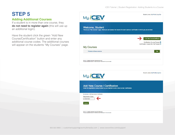# **STEP 5**

## **Adding Additional Courses**

If a student is in more than one course, they **do not need to register again** (this will use up an additional login).

Have the student click the green "Add New Course/Certification" button and enter any additional course codes. The additional courses will appear on the students "My Courses" page.